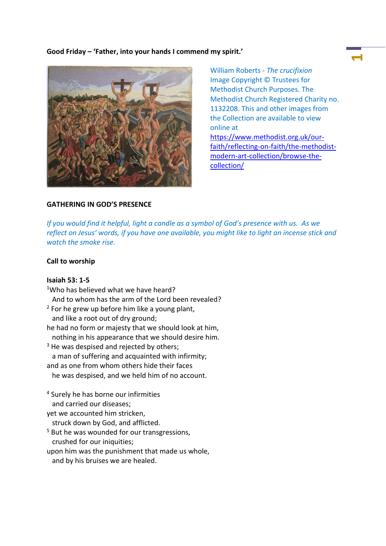## **Good Friday – 'Father, into your hands I commend my spirit.'**



William Roberts - *The crucifixion* Image Copyright © Trustees for Methodist Church Purposes. The Methodist Church Registered Charity no. 1132208. This and other images from the Collection are available to view online at [https://www.methodist.org.uk/our](https://www.methodist.org.uk/our-faith/reflecting-on-faith/the-methodist-modern-art-collection/browse-the-collection/)[faith/reflecting-on-faith/the-methodist](https://www.methodist.org.uk/our-faith/reflecting-on-faith/the-methodist-modern-art-collection/browse-the-collection/)[modern-art-collection/browse-the](https://www.methodist.org.uk/our-faith/reflecting-on-faith/the-methodist-modern-art-collection/browse-the-collection/)[collection/](https://www.methodist.org.uk/our-faith/reflecting-on-faith/the-methodist-modern-art-collection/browse-the-collection/)

# **GATHERING IN GOD'S PRESENCE**

*If you would find it helpful, light a candle as a symbol of God's presence with us. As we reflect on Jesus' words, if you have one available, you might like to light an incense stick and watch the smoke rise.*

## **Call to worship**

#### **Isaiah 53: 1-5**

<sup>1</sup>Who has believed what we have heard? And to whom has the arm of the Lord been revealed?  $2$  For he grew up before him like a young plant, and like a root out of dry ground; he had no form or majesty that we should look at him, nothing in his appearance that we should desire him.  $3$  He was despised and rejected by others; a man of suffering and acquainted with infirmity; and as one from whom others hide their faces he was despised, and we held him of no account. <sup>4</sup> Surely he has borne our infirmities and carried our diseases; yet we accounted him stricken, struck down by God, and afflicted. <sup>5</sup> But he was wounded for our transgressions, crushed for our iniquities; upon him was the punishment that made us whole, and by his bruises we are healed.

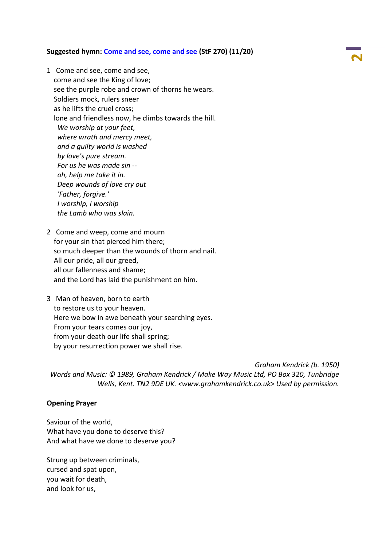#### **Suggested hymn: [Come and see, come and see](https://www.methodist.org.uk/our-faith/worship/singing-the-faith-plus/hymns/come-and-see-come-and-see-stf-270/) (StF 270) (11/20)**

- 1 Come and see, come and see, come and see the King of love; see the purple robe and crown of thorns he wears. Soldiers mock, rulers sneer as he lifts the cruel cross; lone and friendless now, he climbs towards the hill. *We worship at your feet, where wrath and mercy meet, and a guilty world is washed by love's pure stream. For us he was made sin - oh, help me take it in. Deep wounds of love cry out 'Father, forgive.' I worship, I worship the Lamb who was slain.*
- 2 Come and weep, come and mourn for your sin that pierced him there; so much deeper than the wounds of thorn and nail. All our pride, all our greed, all our fallenness and shame; and the Lord has laid the punishment on him.
- 3 Man of heaven, born to earth to restore us to your heaven. Here we bow in awe beneath your searching eyes. From your tears comes our joy, from your death our life shall spring; by your resurrection power we shall rise.

*Graham Kendrick (b. 1950) Words and Music: © 1989, Graham Kendrick / Make Way Music Ltd, PO Box 320, Tunbridge Wells, Kent. TN2 9DE UK. <www.grahamkendrick.co.uk> Used by permission.*

#### **Opening Prayer**

Saviour of the world, What have you done to deserve this? And what have we done to deserve you?

Strung up between criminals, cursed and spat upon, you wait for death, and look for us,

**2**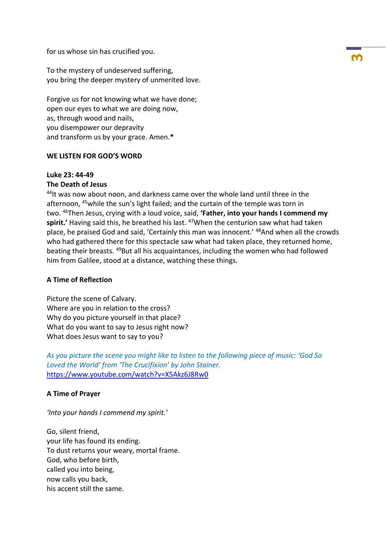for us whose sin has crucified you.

To the mystery of undeserved suffering, you bring the deeper mystery of unmerited love.

Forgive us for not knowing what we have done; open our eyes to what we are doing now, as, through wood and nails, you disempower our depravity and transform us by your grace. Amen.**\***

## **WE LISTEN FOR GOD'S WORD**

# **Luke 23: 44-49**

## **The Death of Jesus**

<sup>44</sup>It was now about noon, and darkness came over the whole land until three in the afternoon, <sup>45</sup>while the sun's light failed; and the curtain of the temple was torn in two. <sup>46</sup>Then Jesus, crying with a loud voice, said, **'Father, into your hands I commend my**  spirit.' Having said this, he breathed his last.<sup>47</sup>When the centurion saw what had taken place, he praised God and said, 'Certainly this man was innocent.' <sup>48</sup>And when all the crowds who had gathered there for this spectacle saw what had taken place, they returned home, beating their breasts. <sup>49</sup>But all his acquaintances, including the women who had followed him from Galilee, stood at a distance, watching these things.

## **A Time of Reflection**

Picture the scene of Calvary. Where are you in relation to the cross? Why do you picture yourself in that place? What do you want to say to Jesus right now? What does Jesus want to say to you?

*As you picture the scene you might like to listen to the following piece of music: 'God So Loved the World' from 'The Crucifixion' by John Stainer.*  <https://www.youtube.com/watch?v=X5Akz6J8Rw0>

## **A Time of Prayer**

*'Into your hands I commend my spirit.'*

Go, silent friend, your life has found its ending. To dust returns your weary, mortal frame. God, who before birth, called you into being, now calls you back, his accent still the same.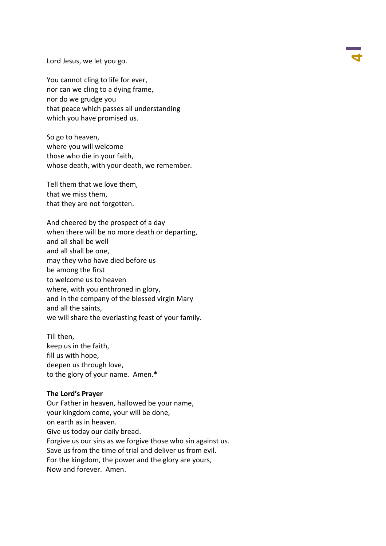Lord Jesus, we let you go. **<sup>4</sup>**

You cannot cling to life for ever, nor can we cling to a dying frame, nor do we grudge you that peace which passes all understanding which you have promised us.

So go to heaven, where you will welcome those who die in your faith, whose death, with your death, we remember.

Tell them that we love them, that we miss them, that they are not forgotten.

And cheered by the prospect of a day when there will be no more death or departing, and all shall be well and all shall be one, may they who have died before us be among the first to welcome us to heaven where, with you enthroned in glory, and in the company of the blessed virgin Mary and all the saints, we will share the everlasting feast of your family.

Till then, keep us in the faith, fill us with hope, deepen us through love, to the glory of your name. Amen.**\***

#### **The Lord's Prayer**

Our Father in heaven, hallowed be your name, your kingdom come, your will be done, on earth as in heaven. Give us today our daily bread. Forgive us our sins as we forgive those who sin against us. Save us from the time of trial and deliver us from evil. For the kingdom, the power and the glory are yours, Now and forever. Amen.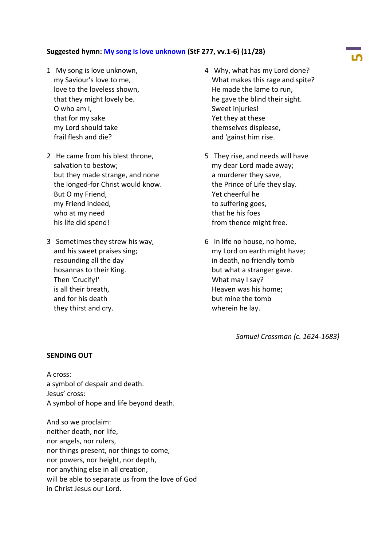# **Suggested hymn: [My song is love unknown](https://www.methodist.org.uk/our-faith/worship/singing-the-faith-plus/hymns/my-song-is-love-unknown-stf-277/) (StF 277, vv.1-6) (11/28)**

- 1 My song is love unknown, my Saviour's love to me, love to the loveless shown, that they might lovely be. O who am I, that for my sake my Lord should take frail flesh and die?
- 2 He came from his blest throne, salvation to bestow; but they made strange, and none the longed-for Christ would know. But O my Friend, my Friend indeed, who at my need his life did spend!
- 3 Sometimes they strew his way, and his sweet praises sing; resounding all the day hosannas to their King. Then 'Crucify!' is all their breath, and for his death they thirst and cry.
- 4 Why, what has my Lord done? What makes this rage and spite? He made the lame to run, he gave the blind their sight. Sweet injuries! Yet they at these themselves displease, and 'gainst him rise.
- 5 They rise, and needs will have my dear Lord made away; a murderer they save, the Prince of Life they slay. Yet cheerful he to suffering goes, that he his foes from thence might free.
- 6 In life no house, no home, my Lord on earth might have; in death, no friendly tomb but what a stranger gave. What may I say? Heaven was his home; but mine the tomb wherein he lay.

*Samuel Crossman (c. 1624-1683)*

#### **SENDING OUT**

A cross: a symbol of despair and death. Jesus' cross: A symbol of hope and life beyond death.

And so we proclaim: neither death, nor life, nor angels, nor rulers, nor things present, nor things to come, nor powers, nor height, nor depth, nor anything else in all creation, will be able to separate us from the love of God in Christ Jesus our Lord.